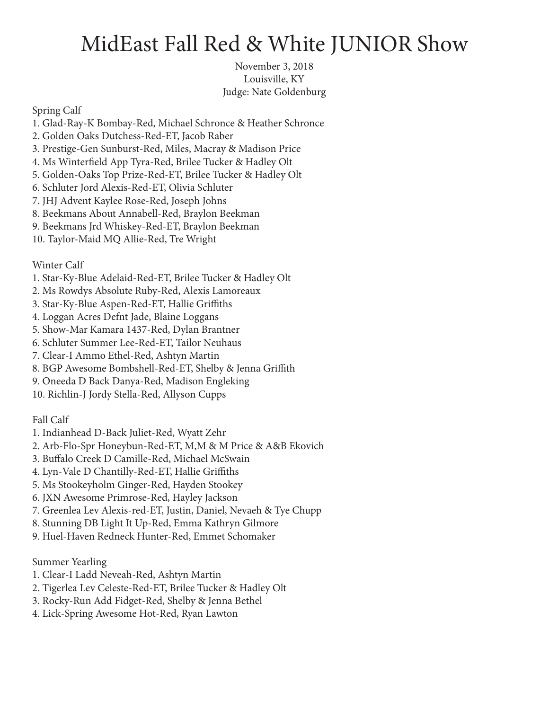## MidEast Fall Red & White JUNIOR Show

November 3, 2018 Louisville, KY Judge: Nate Goldenburg

Spring Calf

- 1. Glad-Ray-K Bombay-Red, Michael Schronce & Heather Schronce
- 2. Golden Oaks Dutchess-Red-ET, Jacob Raber
- 3. Prestige-Gen Sunburst-Red, Miles, Macray & Madison Price
- 4. Ms Winterfield App Tyra-Red, Brilee Tucker & Hadley Olt
- 5. Golden-Oaks Top Prize-Red-ET, Brilee Tucker & Hadley Olt
- 6. Schluter Jord Alexis-Red-ET, Olivia Schluter
- 7. JHJ Advent Kaylee Rose-Red, Joseph Johns
- 8. Beekmans About Annabell-Red, Braylon Beekman
- 9. Beekmans Jrd Whiskey-Red-ET, Braylon Beekman
- 10. Taylor-Maid MQ Allie-Red, Tre Wright

Winter Calf

- 1. Star-Ky-Blue Adelaid-Red-ET, Brilee Tucker & Hadley Olt
- 2. Ms Rowdys Absolute Ruby-Red, Alexis Lamoreaux
- 3. Star-Ky-Blue Aspen-Red-ET, Hallie Griffiths
- 4. Loggan Acres Defnt Jade, Blaine Loggans
- 5. Show-Mar Kamara 1437-Red, Dylan Brantner
- 6. Schluter Summer Lee-Red-ET, Tailor Neuhaus
- 7. Clear-I Ammo Ethel-Red, Ashtyn Martin
- 8. BGP Awesome Bombshell-Red-ET, Shelby & Jenna Griffith
- 9. Oneeda D Back Danya-Red, Madison Engleking
- 10. Richlin-J Jordy Stella-Red, Allyson Cupps

Fall Calf

- 1. Indianhead D-Back Juliet-Red, Wyatt Zehr
- 2. Arb-Flo-Spr Honeybun-Red-ET, M,M & M Price & A&B Ekovich
- 3. Buffalo Creek D Camille-Red, Michael McSwain
- 4. Lyn-Vale D Chantilly-Red-ET, Hallie Griffiths
- 5. Ms Stookeyholm Ginger-Red, Hayden Stookey
- 6. JXN Awesome Primrose-Red, Hayley Jackson
- 7. Greenlea Lev Alexis-red-ET, Justin, Daniel, Nevaeh & Tye Chupp
- 8. Stunning DB Light It Up-Red, Emma Kathryn Gilmore
- 9. Huel-Haven Redneck Hunter-Red, Emmet Schomaker

Summer Yearling

- 1. Clear-I Ladd Neveah-Red, Ashtyn Martin
- 2. Tigerlea Lev Celeste-Red-ET, Brilee Tucker & Hadley Olt
- 3. Rocky-Run Add Fidget-Red, Shelby & Jenna Bethel
- 4. Lick-Spring Awesome Hot-Red, Ryan Lawton